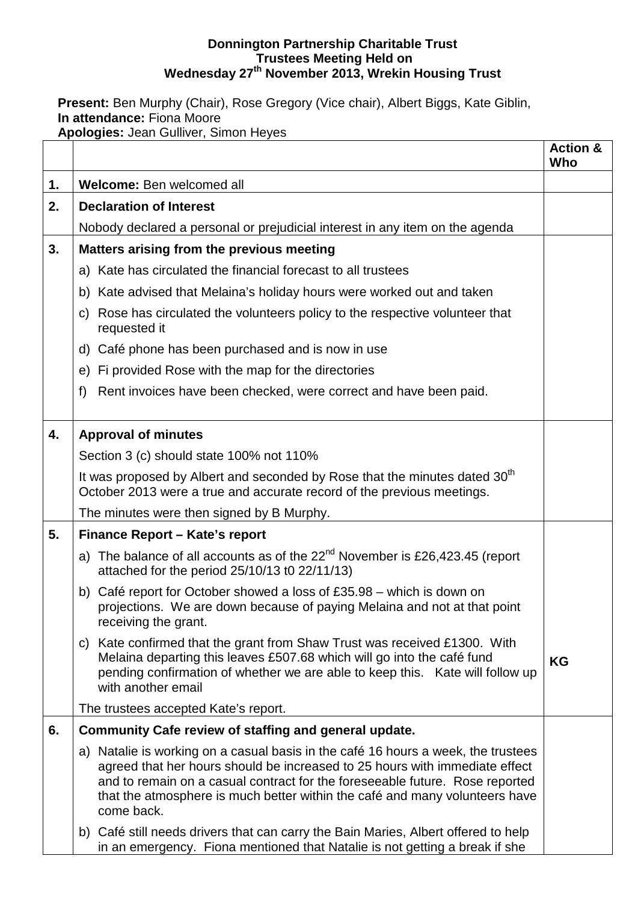### **Donnington Partnership Charitable Trust Trustees Meeting Held on Wednesday 27th November 2013, Wrekin Housing Trust**

**Present:** Ben Murphy (Chair), Rose Gregory (Vice chair), Albert Biggs, Kate Giblin, **In attendance:** Fiona Moore **Apologies:** Jean Gulliver, Simon Heyes

|    |                                                                                                                                                                                                                                                                                                                                               | <b>Action &amp;</b><br>Who |
|----|-----------------------------------------------------------------------------------------------------------------------------------------------------------------------------------------------------------------------------------------------------------------------------------------------------------------------------------------------|----------------------------|
| 1. | Welcome: Ben welcomed all                                                                                                                                                                                                                                                                                                                     |                            |
| 2. | <b>Declaration of Interest</b>                                                                                                                                                                                                                                                                                                                |                            |
|    | Nobody declared a personal or prejudicial interest in any item on the agenda                                                                                                                                                                                                                                                                  |                            |
| 3. | Matters arising from the previous meeting                                                                                                                                                                                                                                                                                                     |                            |
|    | a) Kate has circulated the financial forecast to all trustees                                                                                                                                                                                                                                                                                 |                            |
|    | b) Kate advised that Melaina's holiday hours were worked out and taken                                                                                                                                                                                                                                                                        |                            |
|    | Rose has circulated the volunteers policy to the respective volunteer that<br>C)<br>requested it                                                                                                                                                                                                                                              |                            |
|    | d) Café phone has been purchased and is now in use                                                                                                                                                                                                                                                                                            |                            |
|    | e) Fi provided Rose with the map for the directories                                                                                                                                                                                                                                                                                          |                            |
|    | Rent invoices have been checked, were correct and have been paid.<br>f)                                                                                                                                                                                                                                                                       |                            |
| 4. | <b>Approval of minutes</b>                                                                                                                                                                                                                                                                                                                    |                            |
|    | Section 3 (c) should state 100% not 110%                                                                                                                                                                                                                                                                                                      |                            |
|    | It was proposed by Albert and seconded by Rose that the minutes dated 30 <sup>th</sup><br>October 2013 were a true and accurate record of the previous meetings.                                                                                                                                                                              |                            |
|    | The minutes were then signed by B Murphy.                                                                                                                                                                                                                                                                                                     |                            |
| 5. | Finance Report - Kate's report                                                                                                                                                                                                                                                                                                                |                            |
|    | a) The balance of all accounts as of the $22nd$ November is £26,423.45 (report<br>attached for the period 25/10/13 t0 22/11/13)                                                                                                                                                                                                               |                            |
|    | b) Café report for October showed a loss of £35.98 – which is down on<br>projections. We are down because of paying Melaina and not at that point<br>receiving the grant.                                                                                                                                                                     |                            |
|    | c) Kate confirmed that the grant from Shaw Trust was received £1300. With<br>Melaina departing this leaves £507.68 which will go into the café fund<br>pending confirmation of whether we are able to keep this. Kate will follow up<br>with another email                                                                                    | <b>KG</b>                  |
|    | The trustees accepted Kate's report.                                                                                                                                                                                                                                                                                                          |                            |
| 6. | Community Cafe review of staffing and general update.                                                                                                                                                                                                                                                                                         |                            |
|    | a) Natalie is working on a casual basis in the café 16 hours a week, the trustees<br>agreed that her hours should be increased to 25 hours with immediate effect<br>and to remain on a casual contract for the foreseeable future. Rose reported<br>that the atmosphere is much better within the café and many volunteers have<br>come back. |                            |
|    | b) Café still needs drivers that can carry the Bain Maries, Albert offered to help<br>in an emergency. Fiona mentioned that Natalie is not getting a break if she                                                                                                                                                                             |                            |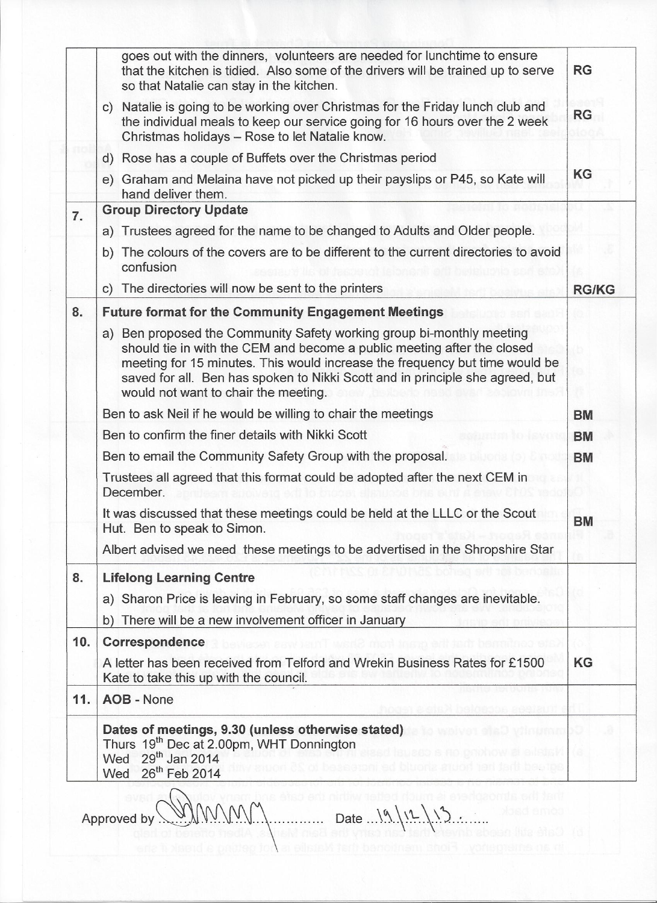|     | goes out with the dinners, volunteers are needed for lunchtime to ensure<br>that the kitchen is tidied. Also some of the drivers will be trained up to serve<br>so that Natalie can stay in the kitchen.                                                                                                                                                 | <b>RG</b>    |  |
|-----|----------------------------------------------------------------------------------------------------------------------------------------------------------------------------------------------------------------------------------------------------------------------------------------------------------------------------------------------------------|--------------|--|
|     | c) Natalie is going to be working over Christmas for the Friday lunch club and<br>the individual meals to keep our service going for 16 hours over the 2 week<br>Christmas holidays - Rose to let Natalie know.                                                                                                                                          | <b>RG</b>    |  |
|     | d) Rose has a couple of Buffets over the Christmas period                                                                                                                                                                                                                                                                                                |              |  |
|     | e) Graham and Melaina have not picked up their payslips or P45, so Kate will<br>hand deliver them.                                                                                                                                                                                                                                                       | KG           |  |
| 7.  | <b>Group Directory Update</b>                                                                                                                                                                                                                                                                                                                            |              |  |
|     | a) Trustees agreed for the name to be changed to Adults and Older people.                                                                                                                                                                                                                                                                                |              |  |
|     | b) The colours of the covers are to be different to the current directories to avoid<br>confusion                                                                                                                                                                                                                                                        |              |  |
|     | c) The directories will now be sent to the printers                                                                                                                                                                                                                                                                                                      | <b>RG/KG</b> |  |
| 8.  | <b>Future format for the Community Engagement Meetings</b>                                                                                                                                                                                                                                                                                               |              |  |
|     | a) Ben proposed the Community Safety working group bi-monthly meeting<br>should tie in with the CEM and become a public meeting after the closed<br>meeting for 15 minutes. This would increase the frequency but time would be<br>saved for all. Ben has spoken to Nikki Scott and in principle she agreed, but<br>would not want to chair the meeting. |              |  |
|     | Ben to ask Neil if he would be willing to chair the meetings                                                                                                                                                                                                                                                                                             | <b>BM</b>    |  |
|     | Ben to confirm the finer details with Nikki Scott                                                                                                                                                                                                                                                                                                        | <b>BM</b>    |  |
|     | Ben to email the Community Safety Group with the proposal.                                                                                                                                                                                                                                                                                               | <b>BM</b>    |  |
|     | Trustees all agreed that this format could be adopted after the next CEM in<br>December.                                                                                                                                                                                                                                                                 |              |  |
|     | It was discussed that these meetings could be held at the LLLC or the Scout<br>Hut. Ben to speak to Simon.                                                                                                                                                                                                                                               | <b>BM</b>    |  |
|     | Albert advised we need these meetings to be advertised in the Shropshire Star                                                                                                                                                                                                                                                                            |              |  |
| 8.  | <b>Lifelong Learning Centre</b>                                                                                                                                                                                                                                                                                                                          |              |  |
|     | a) Sharon Price is leaving in February, so some staff changes are inevitable.                                                                                                                                                                                                                                                                            |              |  |
|     | b) There will be a new involvement officer in January                                                                                                                                                                                                                                                                                                    |              |  |
| 10. | Correspondence                                                                                                                                                                                                                                                                                                                                           |              |  |
|     | A letter has been received from Telford and Wrekin Business Rates for £1500<br>Kate to take this up with the council.                                                                                                                                                                                                                                    | <b>KG</b>    |  |
| 11. | AOB - None                                                                                                                                                                                                                                                                                                                                               |              |  |
|     | Dates of meetings, 9.30 (unless otherwise stated)<br>Thurs 19 <sup>th</sup> Dec at 2.00pm, WHT Donnington<br>Wed 29 <sup>th</sup> Jan 2014<br>26 <sup>th</sup> Feb 2014<br>Wed                                                                                                                                                                           |              |  |

Approved by  $\mathbb{W}\left(\mathbb{W}\right)\right)$  Date  $\mathbb{W}\left(\mathbb{R}\right)$